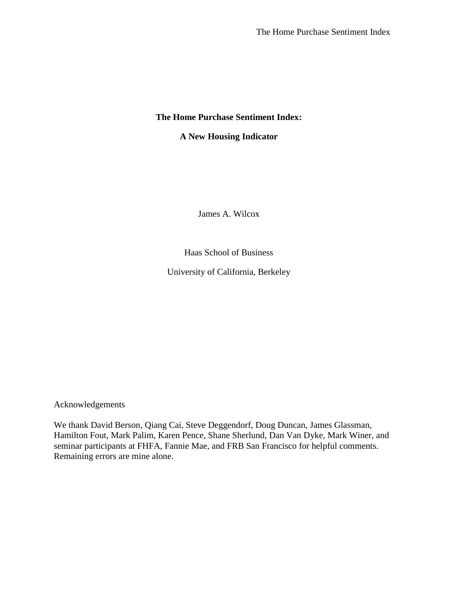## **The Home Purchase Sentiment Index:**

# **A New Housing Indicator**

James A. Wilcox

Haas School of Business

University of California, Berkeley

Acknowledgements

We thank David Berson, Qiang Cai, Steve Deggendorf, Doug Duncan, James Glassman, Hamilton Fout, Mark Palim, Karen Pence, Shane Sherlund, Dan Van Dyke, Mark Winer, and seminar participants at FHFA, Fannie Mae, and FRB San Francisco for helpful comments. Remaining errors are mine alone.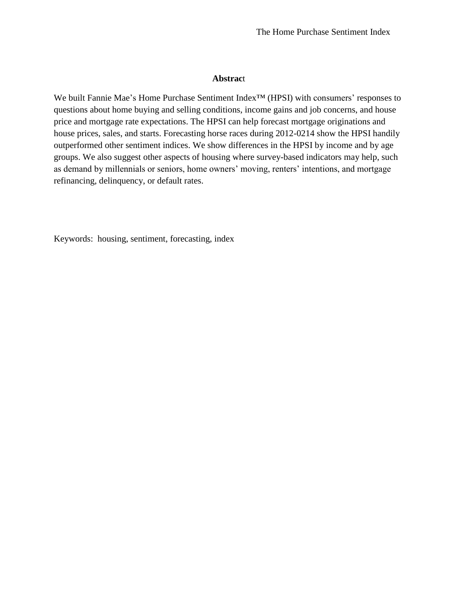## **Abstrac**t

We built Fannie Mae's Home Purchase Sentiment Index™ (HPSI) with consumers' responses to questions about home buying and selling conditions, income gains and job concerns, and house price and mortgage rate expectations. The HPSI can help forecast mortgage originations and house prices, sales, and starts. Forecasting horse races during 2012-0214 show the HPSI handily outperformed other sentiment indices. We show differences in the HPSI by income and by age groups. We also suggest other aspects of housing where survey-based indicators may help, such as demand by millennials or seniors, home owners' moving, renters' intentions, and mortgage refinancing, delinquency, or default rates.

Keywords: housing, sentiment, forecasting, index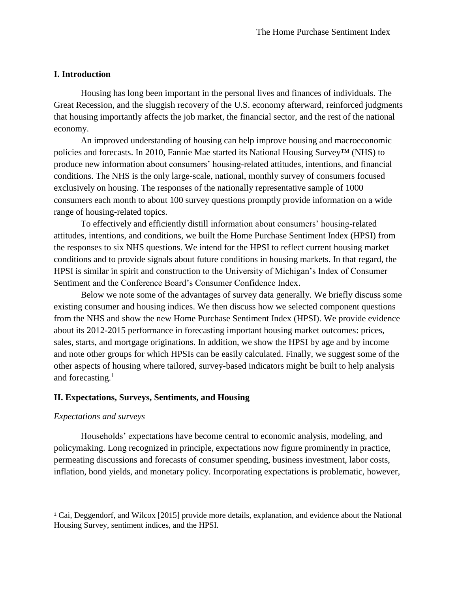## **I. Introduction**

Housing has long been important in the personal lives and finances of individuals. The Great Recession, and the sluggish recovery of the U.S. economy afterward, reinforced judgments that housing importantly affects the job market, the financial sector, and the rest of the national economy.

An improved understanding of housing can help improve housing and macroeconomic policies and forecasts. In 2010, Fannie Mae started its National Housing Survey™ (NHS) to produce new information about consumers' housing-related attitudes, intentions, and financial conditions. The NHS is the only large-scale, national, monthly survey of consumers focused exclusively on housing. The responses of the nationally representative sample of 1000 consumers each month to about 100 survey questions promptly provide information on a wide range of housing-related topics.

To effectively and efficiently distill information about consumers' housing-related attitudes, intentions, and conditions, we built the Home Purchase Sentiment Index (HPSI) from the responses to six NHS questions. We intend for the HPSI to reflect current housing market conditions and to provide signals about future conditions in housing markets. In that regard, the HPSI is similar in spirit and construction to the University of Michigan's Index of Consumer Sentiment and the Conference Board's Consumer Confidence Index.

Below we note some of the advantages of survey data generally. We briefly discuss some existing consumer and housing indices. We then discuss how we selected component questions from the NHS and show the new Home Purchase Sentiment Index (HPSI). We provide evidence about its 2012-2015 performance in forecasting important housing market outcomes: prices, sales, starts, and mortgage originations. In addition, we show the HPSI by age and by income and note other groups for which HPSIs can be easily calculated. Finally, we suggest some of the other aspects of housing where tailored, survey-based indicators might be built to help analysis and forecasting. $<sup>1</sup>$ </sup>

#### **II. Expectations, Surveys, Sentiments, and Housing**

### *Expectations and surveys*

l

Households' expectations have become central to economic analysis, modeling, and policymaking. Long recognized in principle, expectations now figure prominently in practice, permeating discussions and forecasts of consumer spending, business investment, labor costs, inflation, bond yields, and monetary policy. Incorporating expectations is problematic, however,

<sup>1</sup> Cai, Deggendorf, and Wilcox [2015] provide more details, explanation, and evidence about the National Housing Survey, sentiment indices, and the HPSI.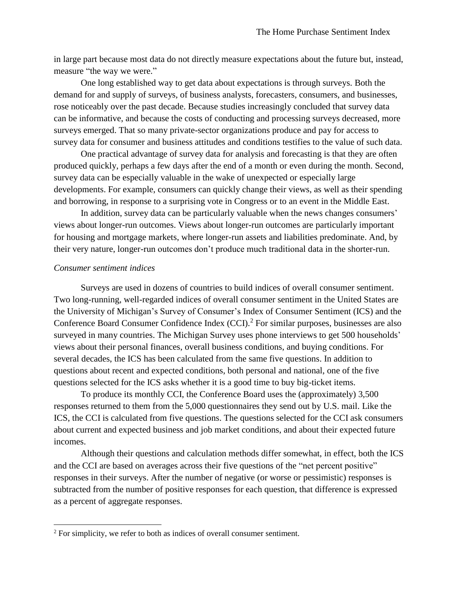in large part because most data do not directly measure expectations about the future but, instead, measure "the way we were."

One long established way to get data about expectations is through surveys. Both the demand for and supply of surveys, of business analysts, forecasters, consumers, and businesses, rose noticeably over the past decade. Because studies increasingly concluded that survey data can be informative, and because the costs of conducting and processing surveys decreased, more surveys emerged. That so many private-sector organizations produce and pay for access to survey data for consumer and business attitudes and conditions testifies to the value of such data.

One practical advantage of survey data for analysis and forecasting is that they are often produced quickly, perhaps a few days after the end of a month or even during the month. Second, survey data can be especially valuable in the wake of unexpected or especially large developments. For example, consumers can quickly change their views, as well as their spending and borrowing, in response to a surprising vote in Congress or to an event in the Middle East.

In addition, survey data can be particularly valuable when the news changes consumers' views about longer-run outcomes. Views about longer-run outcomes are particularly important for housing and mortgage markets, where longer-run assets and liabilities predominate. And, by their very nature, longer-run outcomes don't produce much traditional data in the shorter-run.

### *Consumer sentiment indices*

 $\overline{a}$ 

Surveys are used in dozens of countries to build indices of overall consumer sentiment. Two long-running, well-regarded indices of overall consumer sentiment in the United States are the University of Michigan's Survey of Consumer's Index of Consumer Sentiment (ICS) and the Conference Board Consumer Confidence Index (CCI).<sup>2</sup> For similar purposes, businesses are also surveyed in many countries. The Michigan Survey uses phone interviews to get 500 households' views about their personal finances, overall business conditions, and buying conditions. For several decades, the ICS has been calculated from the same five questions. In addition to questions about recent and expected conditions, both personal and national, one of the five questions selected for the ICS asks whether it is a good time to buy big-ticket items.

To produce its monthly CCI, the Conference Board uses the (approximately) 3,500 responses returned to them from the 5,000 questionnaires they send out by U.S. mail. Like the ICS, the CCI is calculated from five questions. The questions selected for the CCI ask consumers about current and expected business and job market conditions, and about their expected future incomes.

Although their questions and calculation methods differ somewhat, in effect, both the ICS and the CCI are based on averages across their five questions of the "net percent positive" responses in their surveys. After the number of negative (or worse or pessimistic) responses is subtracted from the number of positive responses for each question, that difference is expressed as a percent of aggregate responses.

 $2^2$  For simplicity, we refer to both as indices of overall consumer sentiment.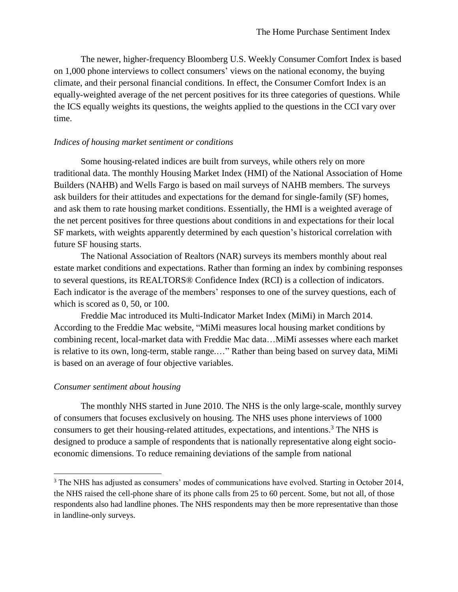The newer, higher-frequency Bloomberg U.S. Weekly Consumer Comfort Index is based on 1,000 phone interviews to collect consumers' views on the national economy, the buying climate, and their personal financial conditions. In effect, the Consumer Comfort Index is an equally-weighted average of the net percent positives for its three categories of questions. While the ICS equally weights its questions, the weights applied to the questions in the CCI vary over time.

### *Indices of housing market sentiment or conditions*

Some housing-related indices are built from surveys, while others rely on more traditional data. The monthly Housing Market Index (HMI) of the National Association of Home Builders (NAHB) and Wells Fargo is based on mail surveys of NAHB members. The surveys ask builders for their attitudes and expectations for the demand for single-family (SF) homes, and ask them to rate housing market conditions. Essentially, the HMI is a weighted average of the net percent positives for three questions about conditions in and expectations for their local SF markets, with weights apparently determined by each question's historical correlation with future SF housing starts.

The National Association of Realtors (NAR) surveys its members monthly about real estate market conditions and expectations. Rather than forming an index by combining responses to several questions, its REALTORS® Confidence Index (RCI) is a collection of indicators. Each indicator is the average of the members' responses to one of the survey questions, each of which is scored as 0, 50, or 100.

Freddie Mac introduced its Multi-Indicator Market Index (MiMi) in March 2014. According to the Freddie Mac website, "MiMi measures local housing market conditions by combining recent, local-market data with Freddie Mac data…MiMi assesses where each market is relative to its own, long-term, stable range.…" Rather than being based on survey data, MiMi is based on an average of four objective variables.

### *Consumer sentiment about housing*

 $\overline{\phantom{a}}$ 

The monthly NHS started in June 2010. The NHS is the only large-scale, monthly survey of consumers that focuses exclusively on housing. The NHS uses phone interviews of 1000 consumers to get their housing-related attitudes, expectations, and intentions. <sup>3</sup> The NHS is designed to produce a sample of respondents that is nationally representative along eight socioeconomic dimensions. To reduce remaining deviations of the sample from national

<sup>&</sup>lt;sup>3</sup> The NHS has adjusted as consumers' modes of communications have evolved. Starting in October 2014, the NHS raised the cell-phone share of its phone calls from 25 to 60 percent. Some, but not all, of those respondents also had landline phones. The NHS respondents may then be more representative than those in landline-only surveys.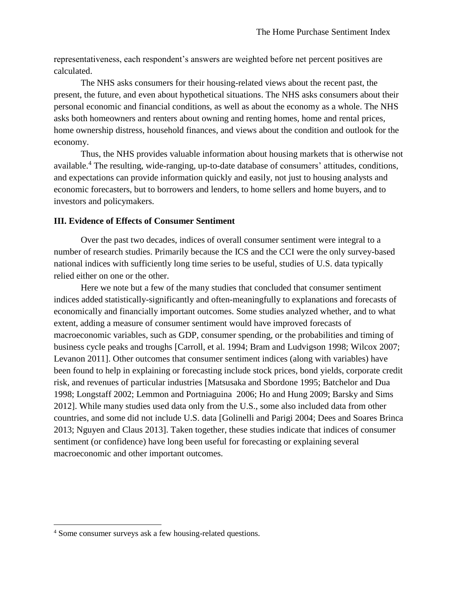representativeness, each respondent's answers are weighted before net percent positives are calculated.

The NHS asks consumers for their housing-related views about the recent past, the present, the future, and even about hypothetical situations. The NHS asks consumers about their personal economic and financial conditions, as well as about the economy as a whole. The NHS asks both homeowners and renters about owning and renting homes, home and rental prices, home ownership distress, household finances, and views about the condition and outlook for the economy.

Thus, the NHS provides valuable information about housing markets that is otherwise not available. <sup>4</sup> The resulting, wide-ranging, up-to-date database of consumers' attitudes, conditions, and expectations can provide information quickly and easily, not just to housing analysts and economic forecasters, but to borrowers and lenders, to home sellers and home buyers, and to investors and policymakers.

## **III. Evidence of Effects of Consumer Sentiment**

Over the past two decades, indices of overall consumer sentiment were integral to a number of research studies. Primarily because the ICS and the CCI were the only survey-based national indices with sufficiently long time series to be useful, studies of U.S. data typically relied either on one or the other.

Here we note but a few of the many studies that concluded that consumer sentiment indices added statistically-significantly and often-meaningfully to explanations and forecasts of economically and financially important outcomes. Some studies analyzed whether, and to what extent, adding a measure of consumer sentiment would have improved forecasts of macroeconomic variables, such as GDP, consumer spending, or the probabilities and timing of business cycle peaks and troughs [Carroll, et al. 1994; Bram and Ludvigson 1998; Wilcox 2007; Levanon 2011]. Other outcomes that consumer sentiment indices (along with variables) have been found to help in explaining or forecasting include stock prices, bond yields, corporate credit risk, and revenues of particular industries [Matsusaka and Sbordone 1995; Batchelor and Dua 1998; Longstaff 2002; Lemmon and Portniaguina 2006; Ho and Hung 2009; Barsky and Sims 2012]. While many studies used data only from the U.S., some also included data from other countries, and some did not include U.S. data [Golinelli and Parigi 2004; Dees and Soares Brinca 2013; Nguyen and Claus 2013]. Taken together, these studies indicate that indices of consumer sentiment (or confidence) have long been useful for forecasting or explaining several macroeconomic and other important outcomes.

 $\overline{a}$ 

<sup>4</sup> Some consumer surveys ask a few housing-related questions.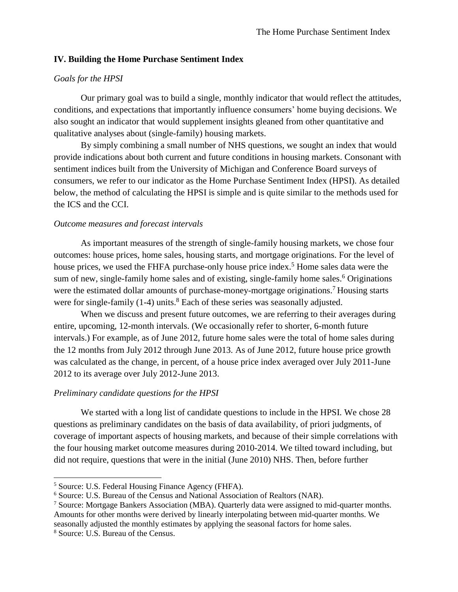## **IV. Building the Home Purchase Sentiment Index**

## *Goals for the HPSI*

Our primary goal was to build a single, monthly indicator that would reflect the attitudes, conditions, and expectations that importantly influence consumers' home buying decisions. We also sought an indicator that would supplement insights gleaned from other quantitative and qualitative analyses about (single-family) housing markets.

By simply combining a small number of NHS questions, we sought an index that would provide indications about both current and future conditions in housing markets. Consonant with sentiment indices built from the University of Michigan and Conference Board surveys of consumers, we refer to our indicator as the Home Purchase Sentiment Index (HPSI). As detailed below, the method of calculating the HPSI is simple and is quite similar to the methods used for the ICS and the CCI.

#### *Outcome measures and forecast intervals*

As important measures of the strength of single-family housing markets, we chose four outcomes: house prices, home sales, housing starts, and mortgage originations. For the level of house prices, we used the FHFA purchase-only house price index.<sup>5</sup> Home sales data were the sum of new, single-family home sales and of existing, single-family home sales.<sup>6</sup> Originations were the estimated dollar amounts of purchase-money-mortgage originations.<sup>7</sup> Housing starts were for single-family  $(1-4)$  units.<sup>8</sup> Each of these series was seasonally adjusted.

When we discuss and present future outcomes, we are referring to their averages during entire, upcoming, 12-month intervals. (We occasionally refer to shorter, 6-month future intervals.) For example, as of June 2012, future home sales were the total of home sales during the 12 months from July 2012 through June 2013. As of June 2012, future house price growth was calculated as the change, in percent, of a house price index averaged over July 2011-June 2012 to its average over July 2012-June 2013.

#### *Preliminary candidate questions for the HPSI*

We started with a long list of candidate questions to include in the HPSI. We chose 28 questions as preliminary candidates on the basis of data availability, of priori judgments, of coverage of important aspects of housing markets, and because of their simple correlations with the four housing market outcome measures during 2010-2014. We tilted toward including, but did not require, questions that were in the initial (June 2010) NHS. Then, before further

 $\overline{\phantom{a}}$ 

<sup>5</sup> Source: U.S. Federal Housing Finance Agency (FHFA).

<sup>6</sup> Source: U.S. Bureau of the Census and National Association of Realtors (NAR).

<sup>7</sup> Source: Mortgage Bankers Association (MBA). Quarterly data were assigned to mid-quarter months. Amounts for other months were derived by linearly interpolating between mid-quarter months. We seasonally adjusted the monthly estimates by applying the seasonal factors for home sales.

<sup>8</sup> Source: U.S. Bureau of the Census.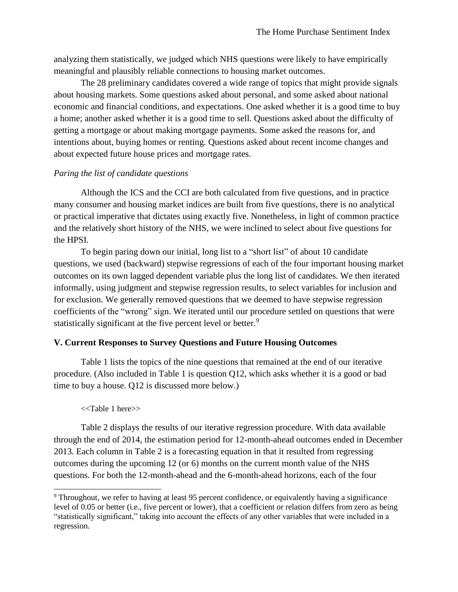analyzing them statistically, we judged which NHS questions were likely to have empirically meaningful and plausibly reliable connections to housing market outcomes.

The 28 preliminary candidates covered a wide range of topics that might provide signals about housing markets. Some questions asked about personal, and some asked about national economic and financial conditions, and expectations. One asked whether it is a good time to buy a home; another asked whether it is a good time to sell. Questions asked about the difficulty of getting a mortgage or about making mortgage payments. Some asked the reasons for, and intentions about, buying homes or renting. Questions asked about recent income changes and about expected future house prices and mortgage rates.

# *Paring the list of candidate questions*

Although the ICS and the CCI are both calculated from five questions, and in practice many consumer and housing market indices are built from five questions, there is no analytical or practical imperative that dictates using exactly five. Nonetheless, in light of common practice and the relatively short history of the NHS, we were inclined to select about five questions for the HPSI.

To begin paring down our initial, long list to a "short list" of about 10 candidate questions, we used (backward) stepwise regressions of each of the four important housing market outcomes on its own lagged dependent variable plus the long list of candidates. We then iterated informally, using judgment and stepwise regression results, to select variables for inclusion and for exclusion. We generally removed questions that we deemed to have stepwise regression coefficients of the "wrong" sign. We iterated until our procedure settled on questions that were statistically significant at the five percent level or better.<sup>9</sup>

# **V. Current Responses to Survey Questions and Future Housing Outcomes**

Table 1 lists the topics of the nine questions that remained at the end of our iterative procedure. (Also included in Table 1 is question Q12, which asks whether it is a good or bad time to buy a house. Q12 is discussed more below.)

# <<Table 1 here>>

 $\overline{\phantom{a}}$ 

Table 2 displays the results of our iterative regression procedure. With data available through the end of 2014, the estimation period for 12-month-ahead outcomes ended in December 2013. Each column in Table 2 is a forecasting equation in that it resulted from regressing outcomes during the upcoming 12 (or 6) months on the current month value of the NHS questions. For both the 12-month-ahead and the 6-month-ahead horizons, each of the four

<sup>&</sup>lt;sup>9</sup> Throughout, we refer to having at least 95 percent confidence, or equivalently having a significance level of 0.05 or better (i.e., five percent or lower), that a coefficient or relation differs from zero as being "statistically significant," taking into account the effects of any other variables that were included in a regression.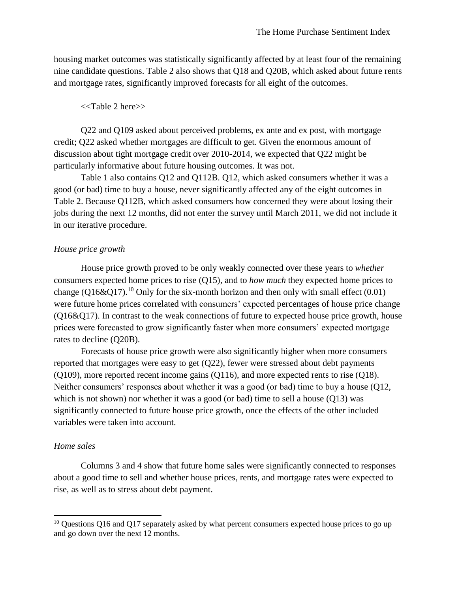housing market outcomes was statistically significantly affected by at least four of the remaining nine candidate questions. Table 2 also shows that Q18 and Q20B, which asked about future rents and mortgage rates, significantly improved forecasts for all eight of the outcomes.

## <<Table 2 here>>

Q22 and Q109 asked about perceived problems, ex ante and ex post, with mortgage credit; Q22 asked whether mortgages are difficult to get. Given the enormous amount of discussion about tight mortgage credit over 2010-2014, we expected that Q22 might be particularly informative about future housing outcomes. It was not.

Table 1 also contains Q12 and Q112B. Q12, which asked consumers whether it was a good (or bad) time to buy a house, never significantly affected any of the eight outcomes in Table 2. Because Q112B, which asked consumers how concerned they were about losing their jobs during the next 12 months, did not enter the survey until March 2011, we did not include it in our iterative procedure.

## *House price growth*

House price growth proved to be only weakly connected over these years to *whether* consumers expected home prices to rise (Q15), and to *how much* they expected home prices to change (Q16&Q17).<sup>10</sup> Only for the six-month horizon and then only with small effect (0.01) were future home prices correlated with consumers' expected percentages of house price change (Q16&Q17). In contrast to the weak connections of future to expected house price growth, house prices were forecasted to grow significantly faster when more consumers' expected mortgage rates to decline (Q20B).

Forecasts of house price growth were also significantly higher when more consumers reported that mortgages were easy to get (Q22), fewer were stressed about debt payments (Q109), more reported recent income gains (Q116), and more expected rents to rise (Q18). Neither consumers' responses about whether it was a good (or bad) time to buy a house (Q12, which is not shown) nor whether it was a good (or bad) time to sell a house (Q13) was significantly connected to future house price growth, once the effects of the other included variables were taken into account.

## *Home sales*

l

Columns 3 and 4 show that future home sales were significantly connected to responses about a good time to sell and whether house prices, rents, and mortgage rates were expected to rise, as well as to stress about debt payment.

<sup>&</sup>lt;sup>10</sup> Questions Q16 and Q17 separately asked by what percent consumers expected house prices to go up and go down over the next 12 months.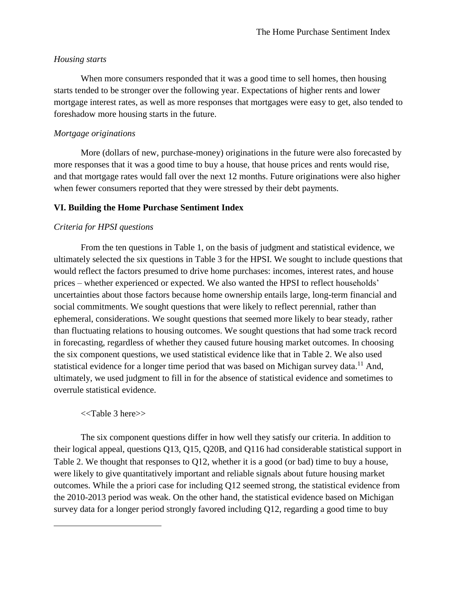# *Housing starts*

When more consumers responded that it was a good time to sell homes, then housing starts tended to be stronger over the following year. Expectations of higher rents and lower mortgage interest rates, as well as more responses that mortgages were easy to get, also tended to foreshadow more housing starts in the future.

# *Mortgage originations*

More (dollars of new, purchase-money) originations in the future were also forecasted by more responses that it was a good time to buy a house, that house prices and rents would rise, and that mortgage rates would fall over the next 12 months. Future originations were also higher when fewer consumers reported that they were stressed by their debt payments.

# **VI. Building the Home Purchase Sentiment Index**

# *Criteria for HPSI questions*

From the ten questions in Table 1, on the basis of judgment and statistical evidence, we ultimately selected the six questions in Table 3 for the HPSI. We sought to include questions that would reflect the factors presumed to drive home purchases: incomes, interest rates, and house prices – whether experienced or expected. We also wanted the HPSI to reflect households' uncertainties about those factors because home ownership entails large, long-term financial and social commitments. We sought questions that were likely to reflect perennial, rather than ephemeral, considerations. We sought questions that seemed more likely to bear steady, rather than fluctuating relations to housing outcomes. We sought questions that had some track record in forecasting, regardless of whether they caused future housing market outcomes. In choosing the six component questions, we used statistical evidence like that in Table 2. We also used statistical evidence for a longer time period that was based on Michigan survey data.<sup>11</sup> And, ultimately, we used judgment to fill in for the absence of statistical evidence and sometimes to overrule statistical evidence.

## <<Table 3 here>>

 $\overline{\phantom{a}}$ 

The six component questions differ in how well they satisfy our criteria. In addition to their logical appeal, questions Q13, Q15, Q20B, and Q116 had considerable statistical support in Table 2. We thought that responses to  $Q12$ , whether it is a good (or bad) time to buy a house, were likely to give quantitatively important and reliable signals about future housing market outcomes. While the a priori case for including Q12 seemed strong, the statistical evidence from the 2010-2013 period was weak. On the other hand, the statistical evidence based on Michigan survey data for a longer period strongly favored including Q12, regarding a good time to buy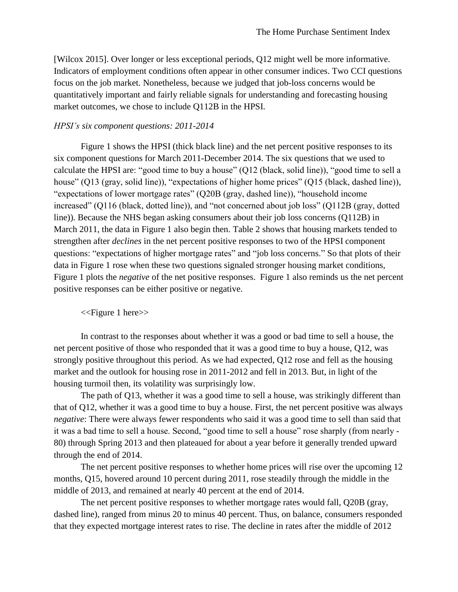[Wilcox 2015]. Over longer or less exceptional periods, Q12 might well be more informative. Indicators of employment conditions often appear in other consumer indices. Two CCI questions focus on the job market. Nonetheless, because we judged that job-loss concerns would be quantitatively important and fairly reliable signals for understanding and forecasting housing market outcomes, we chose to include Q112B in the HPSI.

### *HPSI's six component questions: 2011-2014*

Figure 1 shows the HPSI (thick black line) and the net percent positive responses to its six component questions for March 2011-December 2014. The six questions that we used to calculate the HPSI are: "good time to buy a house" (Q12 (black, solid line)), "good time to sell a house" (Q13 (gray, solid line)), "expectations of higher home prices" (Q15 (black, dashed line)), "expectations of lower mortgage rates" (Q20B (gray, dashed line)), "household income increased" (Q116 (black, dotted line)), and "not concerned about job loss" (Q112B (gray, dotted line)). Because the NHS began asking consumers about their job loss concerns (Q112B) in March 2011, the data in Figure 1 also begin then. Table 2 shows that housing markets tended to strengthen after *declines* in the net percent positive responses to two of the HPSI component questions: "expectations of higher mortgage rates" and "job loss concerns." So that plots of their data in [Figure 1](#page-24-0) rose when these two questions signaled stronger housing market conditions, [Figure 1](#page-24-0) plots the *negative* of the net positive responses. Figure 1 also reminds us the net percent positive responses can be either positive or negative.

<<Figure 1 here>>

In contrast to the responses about whether it was a good or bad time to sell a house, the net percent positive of those who responded that it was a good time to buy a house, Q12, was strongly positive throughout this period. As we had expected, Q12 rose and fell as the housing market and the outlook for housing rose in 2011-2012 and fell in 2013. But, in light of the housing turmoil then, its volatility was surprisingly low.

The path of Q13, whether it was a good time to sell a house, was strikingly different than that of Q12, whether it was a good time to buy a house. First, the net percent positive was always *negative*: There were always fewer respondents who said it was a good time to sell than said that it was a bad time to sell a house. Second, "good time to sell a house" rose sharply (from nearly - 80) through Spring 2013 and then plateaued for about a year before it generally trended upward through the end of 2014.

The net percent positive responses to whether home prices will rise over the upcoming 12 months, Q15, hovered around 10 percent during 2011, rose steadily through the middle in the middle of 2013, and remained at nearly 40 percent at the end of 2014.

The net percent positive responses to whether mortgage rates would fall, Q20B (gray, dashed line), ranged from minus 20 to minus 40 percent. Thus, on balance, consumers responded that they expected mortgage interest rates to rise. The decline in rates after the middle of 2012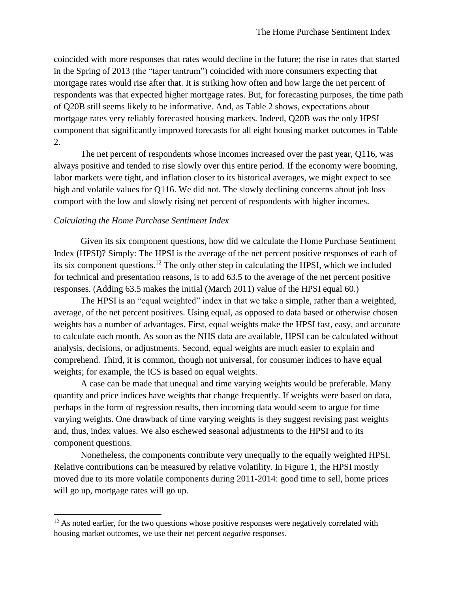coincided with more responses that rates would decline in the future; the rise in rates that started in the Spring of 2013 (the "taper tantrum") coincided with more consumers expecting that mortgage rates would rise after that. It is striking how often and how large the net percent of respondents was that expected higher mortgage rates. But, for forecasting purposes, the time path of Q20B still seems likely to be informative. And, as Table 2 shows, expectations about mortgage rates very reliably forecasted housing markets. Indeed, Q20B was the only HPSI component that significantly improved forecasts for all eight housing market outcomes in Table 2.

The net percent of respondents whose incomes increased over the past year, Q116, was always positive and tended to rise slowly over this entire period. If the economy were booming, labor markets were tight, and inflation closer to its historical averages, we might expect to see high and volatile values for Q116. We did not. The slowly declining concerns about job loss comport with the low and slowly rising net percent of respondents with higher incomes.

## *Calculating the Home Purchase Sentiment Index*

 $\overline{\phantom{a}}$ 

Given its six component questions, how did we calculate the Home Purchase Sentiment Index (HPSI)? Simply: The HPSI is the average of the net percent positive responses of each of its six component questions.<sup>12</sup> The only other step in calculating the HPSI, which we included for technical and presentation reasons, is to add 63.5 to the average of the net percent positive responses. (Adding 63.5 makes the initial (March 2011) value of the HPSI equal 60.)

The HPSI is an "equal weighted" index in that we take a simple, rather than a weighted, average, of the net percent positives. Using equal, as opposed to data based or otherwise chosen weights has a number of advantages. First, equal weights make the HPSI fast, easy, and accurate to calculate each month. As soon as the NHS data are available, HPSI can be calculated without analysis, decisions, or adjustments. Second, equal weights are much easier to explain and comprehend. Third, it is common, though not universal, for consumer indices to have equal weights; for example, the ICS is based on equal weights.

A case can be made that unequal and time varying weights would be preferable. Many quantity and price indices have weights that change frequently. If weights were based on data, perhaps in the form of regression results, then incoming data would seem to argue for time varying weights. One drawback of time varying weights is they suggest revising past weights and, thus, index values. We also eschewed seasonal adjustments to the HPSI and to its component questions.

Nonetheless, the components contribute very unequally to the equally weighted HPSI. Relative contributions can be measured by relative volatility. In Figure 1, the HPSI mostly moved due to its more volatile components during 2011-2014: good time to sell, home prices will go up, mortgage rates will go up.

 $12$  As noted earlier, for the two questions whose positive responses were negatively correlated with housing market outcomes, we use their net percent *negative* responses.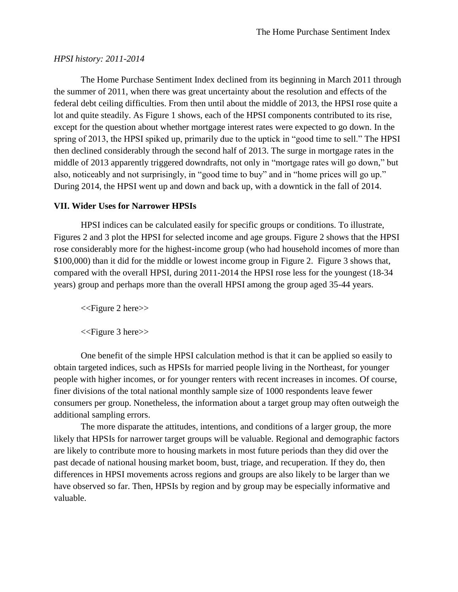## *HPSI history: 2011-2014*

The Home Purchase Sentiment Index declined from its beginning in March 2011 through the summer of 2011, when there was great uncertainty about the resolution and effects of the federal debt ceiling difficulties. From then until about the middle of 2013, the HPSI rose quite a lot and quite steadily. As [Figure 1](#page-24-0) shows, each of the HPSI components contributed to its rise, except for the question about whether mortgage interest rates were expected to go down. In the spring of 2013, the HPSI spiked up, primarily due to the uptick in "good time to sell." The HPSI then declined considerably through the second half of 2013. The surge in mortgage rates in the middle of 2013 apparently triggered downdrafts, not only in "mortgage rates will go down," but also, noticeably and not surprisingly, in "good time to buy" and in "home prices will go up." During 2014, the HPSI went up and down and back up, with a downtick in the fall of 2014.

## **VII. Wider Uses for Narrower HPSIs**

HPSI indices can be calculated easily for specific groups or conditions. To illustrate, Figures 2 and 3 plot the HPSI for selected income and age groups. Figure 2 shows that the HPSI rose considerably more for the highest-income group (who had household incomes of more than \$100,000) than it did for the middle or lowest income group in Figure 2. Figure 3 shows that, compared with the overall HPSI, during 2011-2014 the HPSI rose less for the youngest (18-34 years) group and perhaps more than the overall HPSI among the group aged 35-44 years.

<<Figure 2 here>>

<<Figure 3 here>>

One benefit of the simple HPSI calculation method is that it can be applied so easily to obtain targeted indices, such as HPSIs for married people living in the Northeast, for younger people with higher incomes, or for younger renters with recent increases in incomes. Of course, finer divisions of the total national monthly sample size of 1000 respondents leave fewer consumers per group. Nonetheless, the information about a target group may often outweigh the additional sampling errors.

The more disparate the attitudes, intentions, and conditions of a larger group, the more likely that HPSIs for narrower target groups will be valuable. Regional and demographic factors are likely to contribute more to housing markets in most future periods than they did over the past decade of national housing market boom, bust, triage, and recuperation. If they do, then differences in HPSI movements across regions and groups are also likely to be larger than we have observed so far. Then, HPSIs by region and by group may be especially informative and valuable.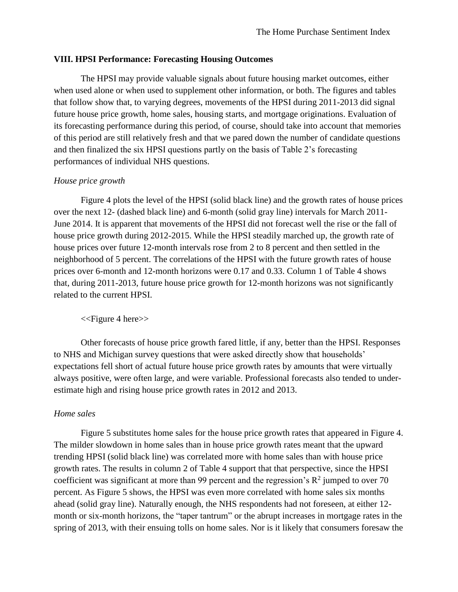## **VIII. HPSI Performance: Forecasting Housing Outcomes**

The HPSI may provide valuable signals about future housing market outcomes, either when used alone or when used to supplement other information, or both. The figures and tables that follow show that, to varying degrees, movements of the HPSI during 2011-2013 did signal future house price growth, home sales, housing starts, and mortgage originations. Evaluation of its forecasting performance during this period, of course, should take into account that memories of this period are still relatively fresh and that we pared down the number of candidate questions and then finalized the six HPSI questions partly on the basis of Table 2's forecasting performances of individual NHS questions.

## *House price growth*

Figure 4 plots the level of the HPSI (solid black line) and the growth rates of house prices over the next 12- (dashed black line) and 6-month (solid gray line) intervals for March 2011- June 2014. It is apparent that movements of the HPSI did not forecast well the rise or the fall of house price growth during 2012-2015. While the HPSI steadily marched up, the growth rate of house prices over future 12-month intervals rose from 2 to 8 percent and then settled in the neighborhood of 5 percent. The correlations of the HPSI with the future growth rates of house prices over 6-month and 12-month horizons were 0.17 and 0.33. Column 1 of Table 4 shows that, during 2011-2013, future house price growth for 12-month horizons was not significantly related to the current HPSI.

#### <<Figure 4 here>>

Other forecasts of house price growth fared little, if any, better than the HPSI. Responses to NHS and Michigan survey questions that were asked directly show that households' expectations fell short of actual future house price growth rates by amounts that were virtually always positive, were often large, and were variable. Professional forecasts also tended to underestimate high and rising house price growth rates in 2012 and 2013.

#### *Home sales*

Figure 5 substitutes home sales for the house price growth rates that appeared in Figure 4. The milder slowdown in home sales than in house price growth rates meant that the upward trending HPSI (solid black line) was correlated more with home sales than with house price growth rates. The results in column 2 of Table 4 support that that perspective, since the HPSI coefficient was significant at more than 99 percent and the regression's  $\mathbb{R}^2$  jumped to over 70 percent. As Figure 5 shows, the HPSI was even more correlated with home sales six months ahead (solid gray line). Naturally enough, the NHS respondents had not foreseen, at either 12 month or six-month horizons, the "taper tantrum" or the abrupt increases in mortgage rates in the spring of 2013, with their ensuing tolls on home sales. Nor is it likely that consumers foresaw the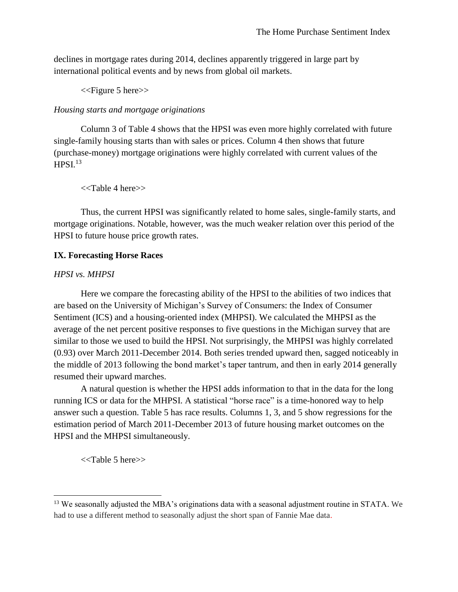declines in mortgage rates during 2014, declines apparently triggered in large part by international political events and by news from global oil markets.

<<Figure 5 here>>

# *Housing starts and mortgage originations*

Column 3 of Table 4 shows that the HPSI was even more highly correlated with future single-family housing starts than with sales or prices. Column 4 then shows that future (purchase-money) mortgage originations were highly correlated with current values of the  $HPSI<sup>13</sup>$ 

<<Table 4 here>>

Thus, the current HPSI was significantly related to home sales, single-family starts, and mortgage originations. Notable, however, was the much weaker relation over this period of the HPSI to future house price growth rates.

# **IX. Forecasting Horse Races**

# *HPSI vs. MHPSI*

Here we compare the forecasting ability of the HPSI to the abilities of two indices that are based on the University of Michigan's Survey of Consumers: the Index of Consumer Sentiment (ICS) and a housing-oriented index (MHPSI). We calculated the MHPSI as the average of the net percent positive responses to five questions in the Michigan survey that are similar to those we used to build the HPSI. Not surprisingly, the MHPSI was highly correlated (0.93) over March 2011-December 2014. Both series trended upward then, sagged noticeably in the middle of 2013 following the bond market's taper tantrum, and then in early 2014 generally resumed their upward marches.

A natural question is whether the HPSI adds information to that in the data for the long running ICS or data for the MHPSI. A statistical "horse race" is a time-honored way to help answer such a question. Table 5 has race results. Columns 1, 3, and 5 show regressions for the estimation period of March 2011-December 2013 of future housing market outcomes on the HPSI and the MHPSI simultaneously.

<<Table 5 here>>

l

<sup>&</sup>lt;sup>13</sup> We seasonally adjusted the MBA's originations data with a seasonal adjustment routine in STATA. We had to use a different method to seasonally adjust the short span of Fannie Mae data.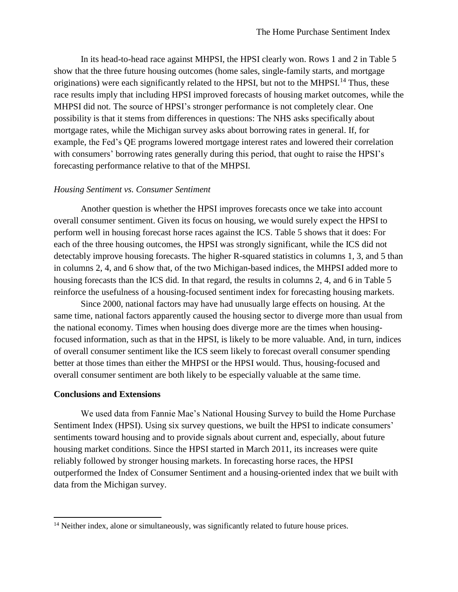In its head-to-head race against MHPSI, the HPSI clearly won. Rows 1 and 2 in Table 5 show that the three future housing outcomes (home sales, single-family starts, and mortgage originations) were each significantly related to the HPSI, but not to the MHPSI.<sup>14</sup> Thus, these race results imply that including HPSI improved forecasts of housing market outcomes, while the MHPSI did not. The source of HPSI's stronger performance is not completely clear. One possibility is that it stems from differences in questions: The NHS asks specifically about mortgage rates, while the Michigan survey asks about borrowing rates in general. If, for example, the Fed's QE programs lowered mortgage interest rates and lowered their correlation with consumers' borrowing rates generally during this period, that ought to raise the HPSI's forecasting performance relative to that of the MHPSI.

## *Housing Sentiment vs. Consumer Sentiment*

Another question is whether the HPSI improves forecasts once we take into account overall consumer sentiment. Given its focus on housing, we would surely expect the HPSI to perform well in housing forecast horse races against the ICS. Table 5 shows that it does: For each of the three housing outcomes, the HPSI was strongly significant, while the ICS did not detectably improve housing forecasts. The higher R-squared statistics in columns 1, 3, and 5 than in columns 2, 4, and 6 show that, of the two Michigan-based indices, the MHPSI added more to housing forecasts than the ICS did. In that regard, the results in columns 2, 4, and 6 in Table 5 reinforce the usefulness of a housing-focused sentiment index for forecasting housing markets.

Since 2000, national factors may have had unusually large effects on housing. At the same time, national factors apparently caused the housing sector to diverge more than usual from the national economy. Times when housing does diverge more are the times when housingfocused information, such as that in the HPSI, is likely to be more valuable. And, in turn, indices of overall consumer sentiment like the ICS seem likely to forecast overall consumer spending better at those times than either the MHPSI or the HPSI would. Thus, housing-focused and overall consumer sentiment are both likely to be especially valuable at the same time.

## **Conclusions and Extensions**

l

We used data from Fannie Mae's National Housing Survey to build the Home Purchase Sentiment Index (HPSI). Using six survey questions, we built the HPSI to indicate consumers' sentiments toward housing and to provide signals about current and, especially, about future housing market conditions. Since the HPSI started in March 2011, its increases were quite reliably followed by stronger housing markets. In forecasting horse races, the HPSI outperformed the Index of Consumer Sentiment and a housing-oriented index that we built with data from the Michigan survey.

<sup>&</sup>lt;sup>14</sup> Neither index, alone or simultaneously, was significantly related to future house prices.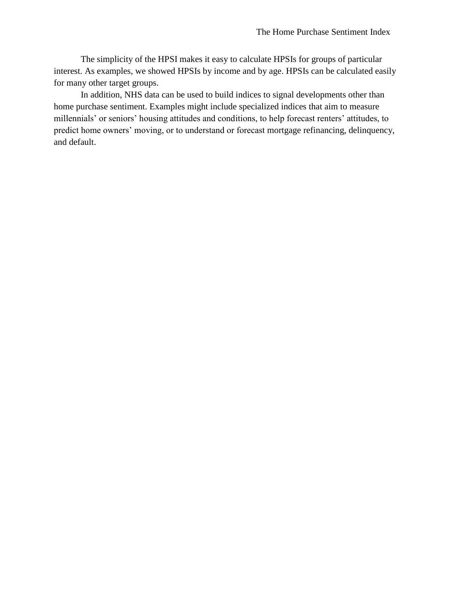The simplicity of the HPSI makes it easy to calculate HPSIs for groups of particular interest. As examples, we showed HPSIs by income and by age. HPSIs can be calculated easily for many other target groups.

In addition, NHS data can be used to build indices to signal developments other than home purchase sentiment. Examples might include specialized indices that aim to measure millennials' or seniors' housing attitudes and conditions, to help forecast renters' attitudes, to predict home owners' moving, or to understand or forecast mortgage refinancing, delinquency, and default.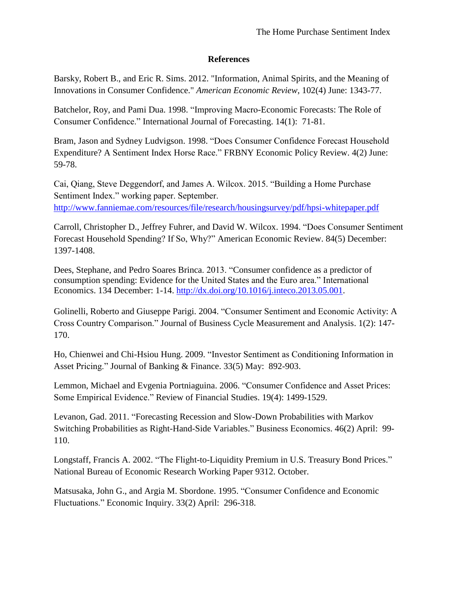# **References**

Barsky, Robert B., and Eric R. Sims. 2012. "Information, Animal Spirits, and the Meaning of Innovations in Consumer Confidence." *American Economic Review*, 102(4) June: 1343-77.

Batchelor, Roy, and Pami Dua. 1998. "Improving Macro-Economic Forecasts: The Role of Consumer Confidence." International Journal of Forecasting. 14(1): 71-81.

Bram, Jason and Sydney Ludvigson. 1998. "Does Consumer Confidence Forecast Household Expenditure? A Sentiment Index Horse Race." FRBNY Economic Policy Review. 4(2) June: 59-78.

Cai, Qiang, Steve Deggendorf, and James A. Wilcox. 2015. "Building a Home Purchase Sentiment Index." working paper. September.

<http://www.fanniemae.com/resources/file/research/housingsurvey/pdf/hpsi-whitepaper.pdf>

Carroll, Christopher D., Jeffrey Fuhrer, and David W. Wilcox. 1994. "Does Consumer Sentiment Forecast Household Spending? If So, Why?" American Economic Review. 84(5) December: 1397-1408.

Dees, Stephane, and Pedro Soares Brinca. 2013. "Consumer confidence as a predictor of consumption spending: Evidence for the United States and the Euro area." International Economics. 134 December: 1-14. [http://dx.doi.org/10.1016/j.inteco.2013.05.001.](http://dx.doi.org/10.1016/j.inteco.2013.05.001)

Golinelli, Roberto and Giuseppe Parigi. 2004. "Consumer Sentiment and Economic Activity: A Cross Country Comparison." Journal of Business Cycle Measurement and Analysis. 1(2): 147- 170.

Ho, Chienwei and Chi-Hsiou Hung. 2009. "Investor Sentiment as Conditioning Information in Asset Pricing." Journal of Banking & Finance. 33(5) May: 892-903.

Lemmon, Michael and Evgenia Portniaguina. 2006. "Consumer Confidence and Asset Prices: Some Empirical Evidence." Review of Financial Studies. 19(4): 1499-1529.

Levanon, Gad. 2011. "Forecasting Recession and Slow-Down Probabilities with Markov Switching Probabilities as Right-Hand-Side Variables." Business Economics. 46(2) April: 99- 110.

Longstaff, Francis A. 2002. "The Flight-to-Liquidity Premium in U.S. Treasury Bond Prices." National Bureau of Economic Research Working Paper 9312. October.

Matsusaka, John G., and Argia M. Sbordone. 1995. "Consumer Confidence and Economic Fluctuations." Economic Inquiry. 33(2) April: 296-318.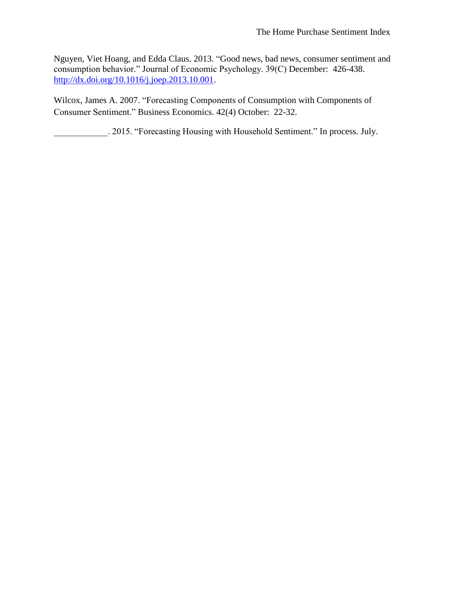Nguyen, Viet Hoang, and Edda Claus. 2013. "Good news, bad news, consumer sentiment and consumption behavior." Journal of Economic Psychology. 39(C) December: 426-438. [http://dx.doi.org/10.1016/j.joep.2013.10.001.](http://dx.doi.org/10.1016/j.joep.2013.10.001)

Wilcox, James A. 2007. "Forecasting Components of Consumption with Components of Consumer Sentiment." Business Economics. 42(4) October: 22-32.

\_\_\_\_\_\_\_\_\_\_\_\_. 2015. "Forecasting Housing with Household Sentiment." In process. July.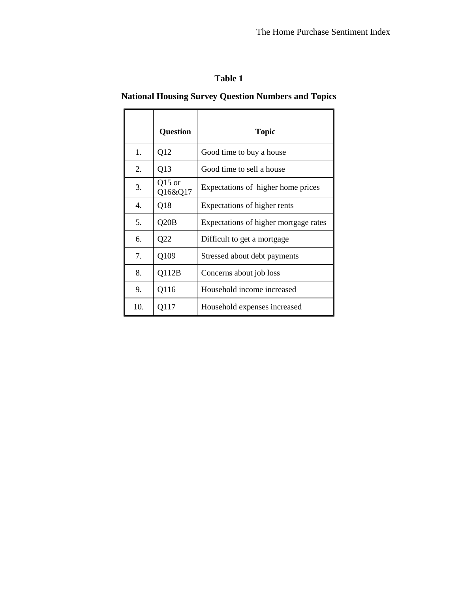# **National Housing Survey Question Numbers and Topics**

|     | <b>Question</b>     | <b>Topic</b>                          |
|-----|---------------------|---------------------------------------|
| 1.  | Q12                 | Good time to buy a house              |
| 2.  | Q13                 | Good time to sell a house             |
| 3.  | $Q15$ or<br>Q16&Q17 | Expectations of higher home prices    |
| 4.  | Q18                 | Expectations of higher rents          |
| 5.  | Q20B                | Expectations of higher mortgage rates |
| 6.  | Q22                 | Difficult to get a mortgage           |
| 7.  | Q109                | Stressed about debt payments          |
| 8.  | Q112B               | Concerns about job loss               |
| 9.  | Q116                | Household income increased            |
| 10. | Q117                | Household expenses increased          |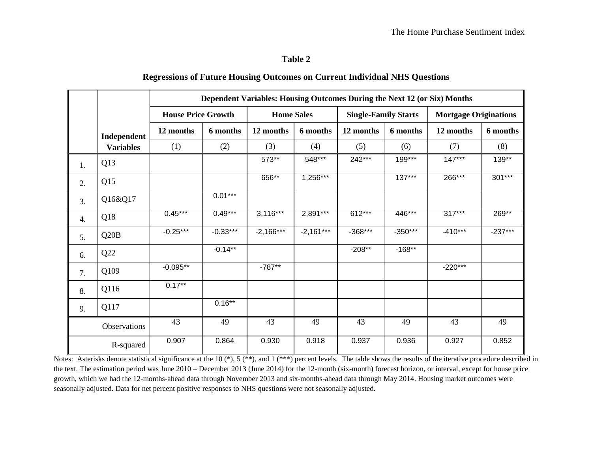# **Regressions of Future Housing Outcomes on Current Individual NHS Questions**

|    |                  |                           |            | Dependent Variables: Housing Outcomes During the Next 12 (or Six) Months |             |                             |           |                              |           |  |
|----|------------------|---------------------------|------------|--------------------------------------------------------------------------|-------------|-----------------------------|-----------|------------------------------|-----------|--|
|    |                  | <b>House Price Growth</b> |            | <b>Home Sales</b>                                                        |             | <b>Single-Family Starts</b> |           | <b>Mortgage Originations</b> |           |  |
|    | Independent      | 12 months                 | 6 months   | 12 months                                                                | 6 months    | 12 months                   | 6 months  | 12 months                    | 6 months  |  |
|    | <b>Variables</b> | (1)                       | (2)        | (3)                                                                      | (4)         | (5)                         | (6)       | (7)                          | (8)       |  |
| 1. | Q13              |                           |            | 573**                                                                    | 548***      | 242***                      | 199***    | $147***$                     | 139**     |  |
| 2. | Q15              |                           |            | 656**                                                                    | $1,256***$  |                             | $137***$  | 266***                       | 301***    |  |
| 3. | Q16&Q17          |                           | $0.01***$  |                                                                          |             |                             |           |                              |           |  |
| 4. | Q18              | $0.45***$                 | $0.49***$  | $3,116***$                                                               | 2,891***    | 612***                      | 446***    | $317***$                     | 269**     |  |
| 5. | Q20B             | $-0.25***$                | $-0.33***$ | $-2,166***$                                                              | $-2,161***$ | $-368***$                   | $-350***$ | $-410***$                    | $-237***$ |  |
| 6. | Q22              |                           | $-0.14**$  |                                                                          |             | $-208**$                    | $-168**$  |                              |           |  |
| 7. | Q109             | $-0.095**$                |            | $-787**$                                                                 |             |                             |           | $-220***$                    |           |  |
| 8. | Q116             | $0.17***$                 |            |                                                                          |             |                             |           |                              |           |  |
| 9. | Q117             |                           | $0.16***$  |                                                                          |             |                             |           |                              |           |  |
|    | Observations     | 43                        | 49         | 43                                                                       | 49          | 43                          | 49        | 43                           | 49        |  |
|    | R-squared        | 0.907                     | 0.864      | 0.930                                                                    | 0.918       | 0.937                       | 0.936     | 0.927                        | 0.852     |  |

Notes: Asterisks denote statistical significance at the 10 (\*), 5 (\*\*), and 1 (\*\*\*) percent levels. The table shows the results of the iterative procedure described in the text. The estimation period was June 2010 – December 2013 (June 2014) for the 12-month (six-month) forecast horizon, or interval, except for house price growth, which we had the 12-months-ahead data through November 2013 and six-months-ahead data through May 2014. Housing market outcomes were seasonally adjusted. Data for net percent positive responses to NHS questions were not seasonally adjusted.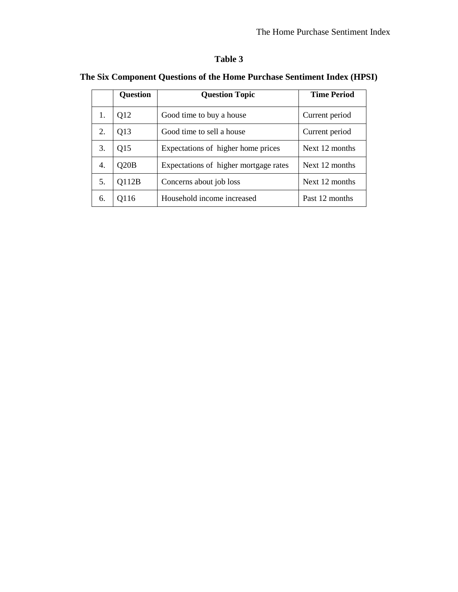|    | <b>Question</b> | <b>Question Topic</b>                 | <b>Time Period</b> |
|----|-----------------|---------------------------------------|--------------------|
| 1. | Q12             | Good time to buy a house              | Current period     |
| 2. | Q13             | Good time to sell a house             | Current period     |
| 3. | Q15             | Expectations of higher home prices    | Next 12 months     |
| 4. | Q20B            | Expectations of higher mortgage rates | Next 12 months     |
| 5. | Q112B           | Concerns about job loss               | Next 12 months     |
| 6. | 0116            | Household income increased            | Past 12 months     |

# **The Six Component Questions of the Home Purchase Sentiment Index (HPSI)**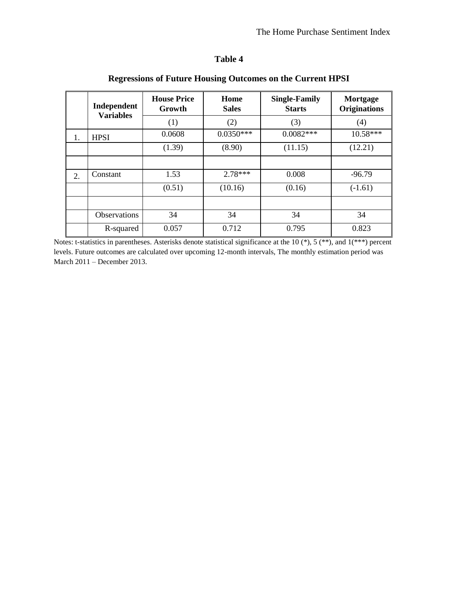| able |  |
|------|--|
|------|--|

|    | Independent<br><b>Variables</b> | <b>House Price</b><br>Growth | Home<br><b>Sales</b> | <b>Single-Family</b><br><b>Starts</b> | Mortgage<br><b>Originations</b> |  |
|----|---------------------------------|------------------------------|----------------------|---------------------------------------|---------------------------------|--|
|    |                                 | (1)                          | (2)                  | (3)                                   | (4)                             |  |
| 1. | <b>HPSI</b>                     | 0.0608                       | $0.0350***$          | $0.0082***$                           | 10.58***                        |  |
|    |                                 | (1.39)                       | (8.90)               | (11.15)                               | (12.21)                         |  |
|    |                                 |                              |                      |                                       |                                 |  |
| 2. | Constant                        | 1.53                         | $2.78***$            | 0.008                                 | $-96.79$                        |  |
|    |                                 | (0.51)                       | (10.16)              | (0.16)                                | $(-1.61)$                       |  |
|    |                                 |                              |                      |                                       |                                 |  |
|    | <b>Observations</b>             | 34                           | 34                   | 34                                    | 34                              |  |
|    | R-squared                       | 0.057                        | 0.712                | 0.795                                 | 0.823                           |  |

# **Regressions of Future Housing Outcomes on the Current HPSI**

Notes: t-statistics in parentheses. Asterisks denote statistical significance at the 10 (\*), 5 (\*\*), and 1(\*\*\*) percent levels. Future outcomes are calculated over upcoming 12-month intervals, The monthly estimation period was March 2011 – December 2013.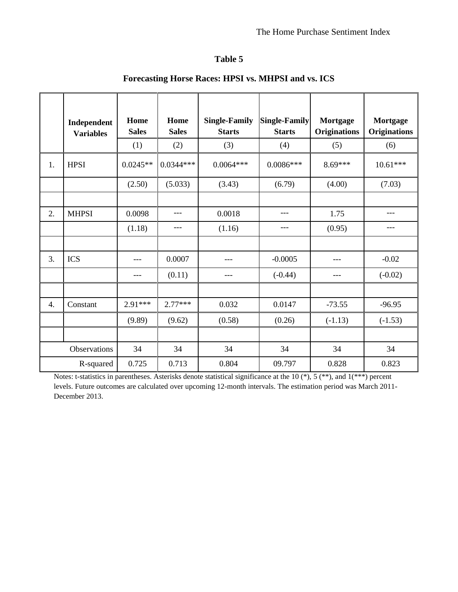|    | Independent      | Home<br><b>Sales</b> | Home<br><b>Sales</b> | <b>Single-Family</b><br><b>Starts</b> | <b>Single-Family</b><br><b>Starts</b> | <b>Mortgage</b><br><b>Originations</b> | <b>Mortgage</b><br><b>Originations</b> |
|----|------------------|----------------------|----------------------|---------------------------------------|---------------------------------------|----------------------------------------|----------------------------------------|
|    | <b>Variables</b> | (1)                  | (2)                  | (3)                                   | (4)                                   | (5)                                    | (6)                                    |
| 1. | <b>HPSI</b>      | $0.0245**$           | $0.0344***$          | $0.0064***$                           | $0.0086***$                           | $8.69***$                              | $10.61***$                             |
|    |                  | (2.50)               | (5.033)              | (3.43)                                | (6.79)                                | (4.00)                                 | (7.03)                                 |
|    |                  |                      |                      |                                       |                                       |                                        |                                        |
| 2. | <b>MHPSI</b>     | 0.0098               | ---                  | 0.0018                                | ---                                   | 1.75                                   | ---                                    |
|    |                  | (1.18)               | ---                  | (1.16)                                | ---                                   | (0.95)                                 | ---                                    |
|    |                  |                      |                      |                                       |                                       |                                        |                                        |
| 3. | <b>ICS</b>       | ---                  | 0.0007               | ---                                   | $-0.0005$                             |                                        | $-0.02$                                |
|    |                  | ---                  | (0.11)               | ---                                   | $(-0.44)$                             | ---                                    | $(-0.02)$                              |
|    |                  |                      |                      |                                       |                                       |                                        |                                        |
| 4. | Constant         | $2.91***$            | $2.77***$            | 0.032                                 | 0.0147                                | $-73.55$                               | $-96.95$                               |
|    |                  | (9.89)               | (9.62)               | (0.58)                                | (0.26)                                | $(-1.13)$                              | $(-1.53)$                              |
|    |                  |                      |                      |                                       |                                       |                                        |                                        |
|    | Observations     | 34                   | 34                   | 34                                    | 34                                    | 34                                     | 34                                     |
|    | R-squared        | 0.725                | 0.713                | 0.804                                 | 09.797                                | 0.828                                  | 0.823                                  |

# **Forecasting Horse Races: HPSI vs. MHPSI and vs. ICS**

Notes: t-statistics in parentheses. Asterisks denote statistical significance at the 10  $(*)$ , 5  $(**)$ , and 1 $(***)$  percent levels. Future outcomes are calculated over upcoming 12-month intervals. The estimation period was March 2011- December 2013.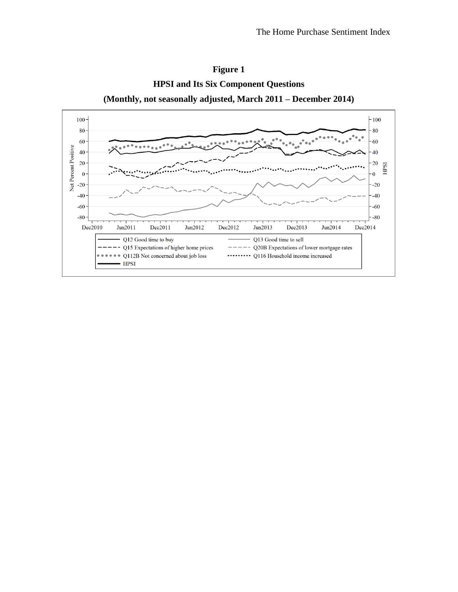<span id="page-24-0"></span>

**Figure 1 HPSI and Its Six Component Questions**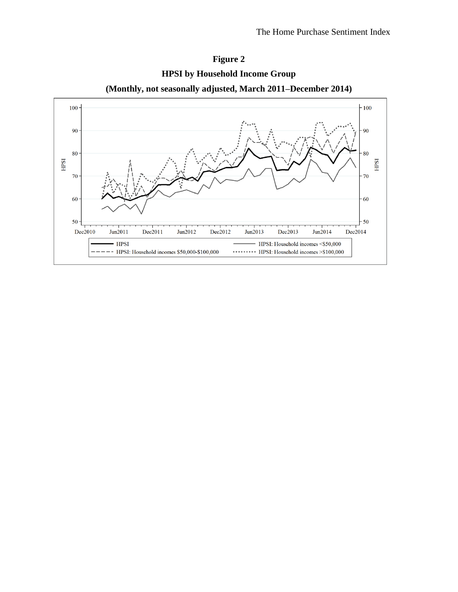

**HPSI by Household Income Group**

**Figure 2**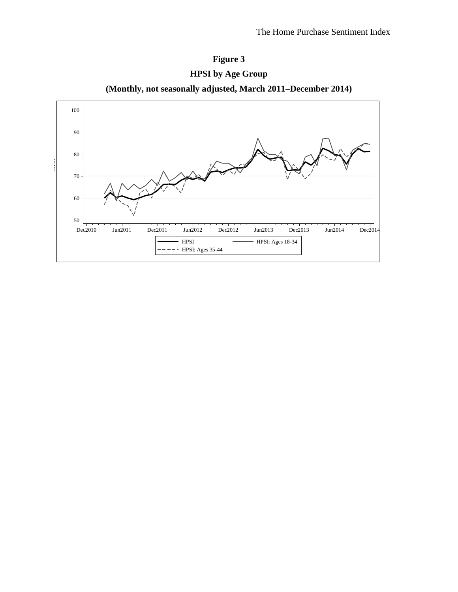





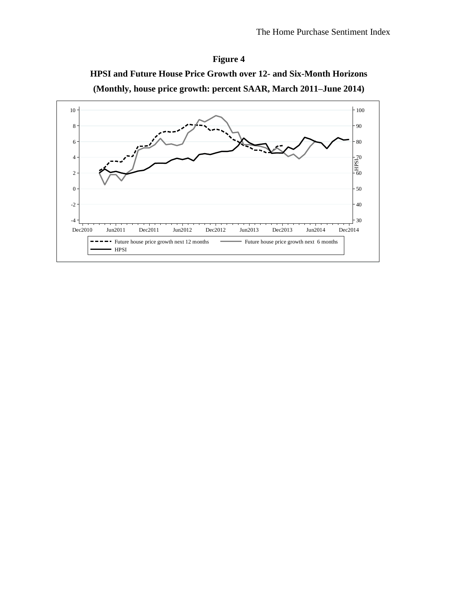